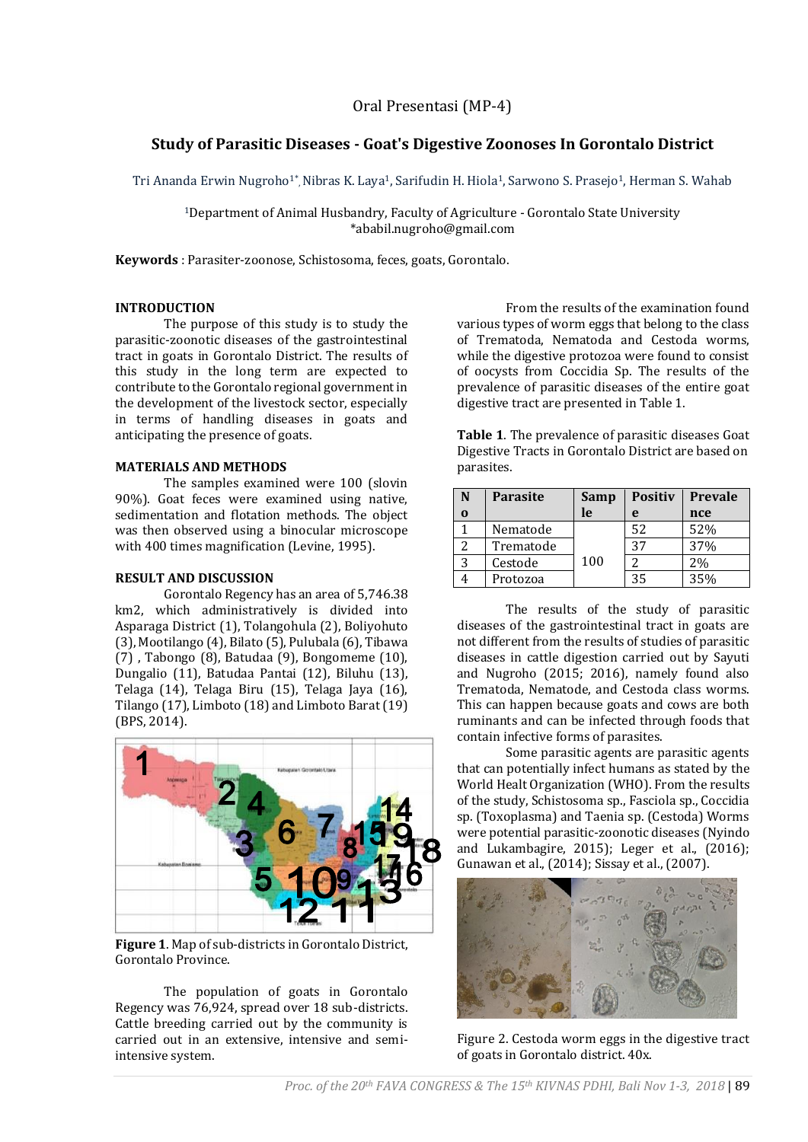# **Study of Parasitic Diseases - Goat's Digestive Zoonoses In Gorontalo District**

Tri Ananda Erwin Nugroho1\*, Nibras K. Laya1, Sarifudin H. Hiola1, Sarwono S. Prasejo1, Herman S. Wahab

<sup>1</sup>Department of Animal Husbandry, Faculty of Agriculture - Gorontalo State University \*ababil.nugroho@gmail.com

**Keywords** : Parasiter-zoonose, Schistosoma, feces, goats, Gorontalo.

## **INTRODUCTION**

The purpose of this study is to study the parasitic-zoonotic diseases of the gastrointestinal tract in goats in Gorontalo District. The results of this study in the long term are expected to contribute to the Gorontalo regional government in the development of the livestock sector, especially in terms of handling diseases in goats and anticipating the presence of goats.

## **MATERIALS AND METHODS**

The samples examined were 100 (slovin 90%). Goat feces were examined using native, sedimentation and flotation methods. The object was then observed using a binocular microscope with 400 times magnification (Levine, 1995).

#### **RESULT AND DISCUSSION**

Gorontalo Regency has an area of 5,746.38 km2, which administratively is divided into Asparaga District (1), Tolangohula (2), Boliyohuto (3), Mootilango (4), Bilato (5), Pulubala (6), Tibawa (7) , Tabongo (8), Batudaa (9), Bongomeme (10), Dungalio (11), Batudaa Pantai (12), Biluhu (13), Telaga (14), Telaga Biru (15), Telaga Jaya (16), Tilango (17), Limboto (18) and Limboto Barat (19) (BPS, 2014).



**Figure 1**. Map of sub-districts in Gorontalo District, Gorontalo Province.

The population of goats in Gorontalo Regency was 76,924, spread over 18 sub-districts. Cattle breeding carried out by the community is carried out in an extensive, intensive and semiintensive system.

From the results of the examination found various types of worm eggs that belong to the class of Trematoda, Nematoda and Cestoda worms, while the digestive protozoa were found to consist of oocysts from Coccidia Sp. The results of the prevalence of parasitic diseases of the entire goat digestive tract are presented in Table 1.

**Table 1**. The prevalence of parasitic diseases Goat Digestive Tracts in Gorontalo District are based on parasites.

| N        | <b>Parasite</b> | Samp | <b>Positiv</b> | <b>Prevale</b> |
|----------|-----------------|------|----------------|----------------|
| $\bf{0}$ |                 | le   | e              | nce            |
|          | Nematode        |      | 52             | 52%            |
|          | Trematode       |      | 37             | 37%            |
| 3        | Cestode         | 100  |                | 2%             |
|          | Protozoa        |      | 35             | 35%            |

The results of the study of parasitic diseases of the gastrointestinal tract in goats are not different from the results of studies of parasitic diseases in cattle digestion carried out by Sayuti and Nugroho (2015; 2016), namely found also Trematoda, Nematode, and Cestoda class worms. This can happen because goats and cows are both ruminants and can be infected through foods that contain infective forms of parasites.

Some parasitic agents are parasitic agents that can potentially infect humans as stated by the World Healt Organization (WHO). From the results of the study, Schistosoma sp., Fasciola sp., Coccidia sp. (Toxoplasma) and Taenia sp. (Cestoda) Worms were potential parasitic-zoonotic diseases (Nyindo and Lukambagire, 2015); Leger et al., (2016); Gunawan et al., (2014); Sissay et al., (2007).



Figure 2. Cestoda worm eggs in the digestive tract of goats in Gorontalo district. 40x.